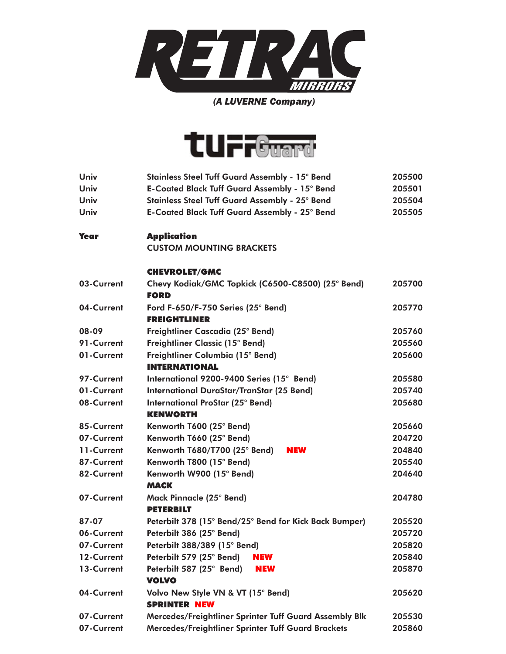

## *(A LUVERNE Company)*



| Univ        | Stainless Steel Tuff Guard Assembly - 15° Bend                   | 205500 |
|-------------|------------------------------------------------------------------|--------|
| Univ        | E-Coated Black Tuff Guard Assembly - 15° Bend                    | 205501 |
| Univ        | Stainless Steel Tuff Guard Assembly - 25° Bend                   | 205504 |
| Univ        | <b>E-Coated Black Tuff Guard Assembly - 25° Bend</b>             | 205505 |
| <b>Year</b> | <b>Application</b>                                               |        |
|             | <b>CUSTOM MOUNTING BRACKETS</b>                                  |        |
|             | <b>CHEVROLET/GMC</b>                                             |        |
| 03-Current  | Chevy Kodiak/GMC Topkick (C6500-C8500) (25° Bend)<br><b>FORD</b> | 205700 |
| 04-Current  | Ford F-650/F-750 Series $(25^{\circ}$ Bend)                      | 205770 |
|             | <b>FREIGHTLINER</b>                                              |        |
| 08-09       | Freightliner Cascadia (25° Bend)                                 | 205760 |
| 91-Current  | Freightliner Classic (15° Bend)                                  | 205560 |
| 01-Current  | Freightliner Columbia (15° Bend)                                 | 205600 |
|             | <b>INTERNATIONAL</b>                                             |        |
| 97-Current  | International 9200-9400 Series (15° Bend)                        | 205580 |
| 01-Current  | <b>International DuraStar/TranStar (25 Bend)</b>                 | 205740 |
| 08-Current  | <b>International ProStar (25° Bend)</b>                          | 205680 |
|             | <b>KENWORTH</b>                                                  |        |
| 85-Current  | Kenworth T600 (25° Bend)                                         | 205660 |
| 07-Current  | Kenworth T660 (25° Bend)                                         | 204720 |
| 11-Current  | Kenworth T680/T700 (25° Bend)<br><b>NEW</b>                      | 204840 |
| 87-Current  | Kenworth T800 (15° Bend)                                         | 205540 |
| 82-Current  | Kenworth W900 (15° Bend)                                         | 204640 |
|             | <b>MACK</b>                                                      |        |
| 07-Current  | Mack Pinnacle (25° Bend)                                         | 204780 |
|             | <b>PETERBILT</b>                                                 |        |
| 87-07       | Peterbilt 378 (15° Bend/25° Bend for Kick Back Bumper)           | 205520 |
| 06-Current  | Peterbilt 386 (25° Bend)                                         | 205720 |
| 07-Current  | Peterbilt 388/389 (15° Bend)                                     | 205820 |
| 12-Current  | Peterbilt 579 (25° Bend)<br><b>NEW</b>                           | 205840 |
| 13-Current  | Peterbilt 587 (25° Bend)<br>NEW                                  | 205870 |
|             | <b>VOLVO</b>                                                     |        |
| 04-Current  | Volvo New Style VN & VT (15° Bend)<br><b>SPRINTER NEW</b>        | 205620 |
| 07-Current  | Mercedes/Freightliner Sprinter Tuff Guard Assembly Blk           | 205530 |
| 07-Current  | Mercedes/Freightliner Sprinter Tuff Guard Brackets               | 205860 |